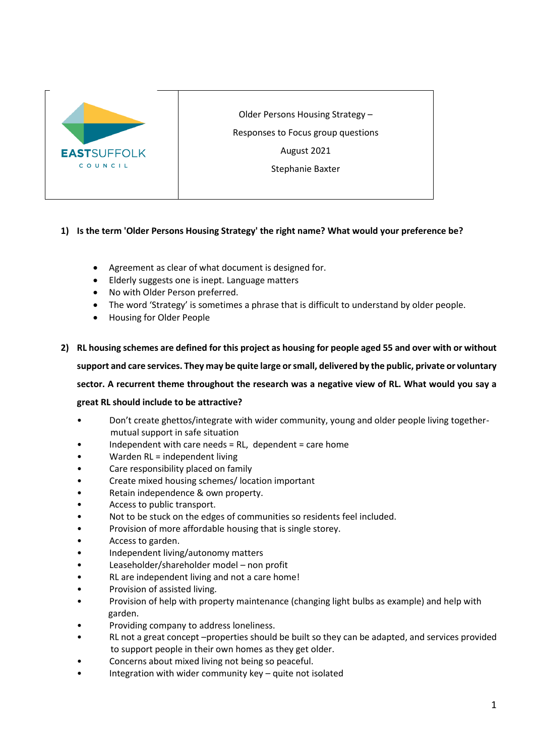

Older Persons Housing Strategy –

Responses to Focus group questions

August 2021

Stephanie Baxter

## **1) Is the term 'Older Persons Housing Strategy' the right name? What would your preference be?**

- Agreement as clear of what document is designed for.
- Elderly suggests one is inept. Language matters
- No with Older Person preferred.
- The word 'Strategy' is sometimes a phrase that is difficult to understand by older people.
- Housing for Older People

#### **2) RL housing schemes are defined for this project as housing for people aged 55 and over with or without**

**support and care services. They may be quite large or small, delivered by the public, private or voluntary** 

**sector. A recurrent theme throughout the research was a negative view of RL. What would you say a** 

#### **great RL should include to be attractive?**

- Don't create ghettos/integrate with wider community, young and older people living together mutual support in safe situation
- Independent with care needs  $= RL$ , dependent  $=$  care home
- Warden RL = independent living
- Care responsibility placed on family
- Create mixed housing schemes/ location important
- Retain independence & own property.
- Access to public transport.
- Not to be stuck on the edges of communities so residents feel included.
- Provision of more affordable housing that is single storey.
- Access to garden.
- Independent living/autonomy matters
- Leaseholder/shareholder model non profit
- RL are independent living and not a care home!
- Provision of assisted living.
- Provision of help with property maintenance (changing light bulbs as example) and help with garden.
- Providing company to address loneliness.
- RL not a great concept –properties should be built so they can be adapted, and services provided to support people in their own homes as they get older.
- Concerns about mixed living not being so peaceful.
- Integration with wider community key  $-$  quite not isolated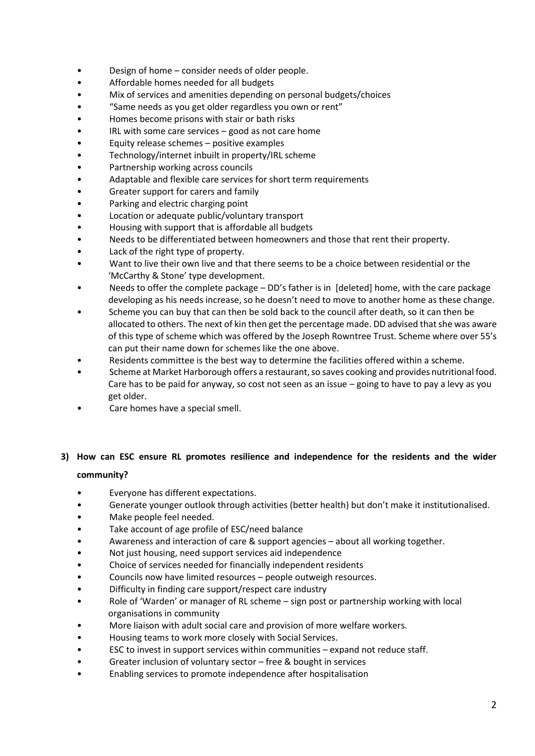- Design of home consider needs of older people.
- Affordable homes needed for all budgets
- Mix of services and amenities depending on personal budgets/choices
- "Same needs as you get older regardless you own or rent"
- Homes become prisons with stair or bath risks
- IRL with some care services  $-$  good as not care home
- Equity release schemes positive examples
- Technology/internet inbuilt in property/IRL scheme
- Partnership working across councils
- Adaptable and flexible care services for short term requirements
- Greater support for carers and family
- Parking and electric charging point
- Location or adequate public/voluntary transport
- Housing with support that is affordable all budgets
- Needs to be differentiated between homeowners and those that rent their property.
- Lack of the right type of property.
- Want to live their own live and that there seems to be a choice between residential or the 'McCarthy & Stone' type development.
- Needs to offer the complete package DD's father is in [deleted] home, with the care package developing as his needs increase, so he doesn't need to move to another home as these change.
- Scheme you can buy that can then be sold back to the council after death, so it can then be allocated to others. The next of kin then get the percentage made. DD advised that she was aware of this type of scheme which was offered by the Joseph Rowntree Trust. Scheme where over 55's can put their name down for schemes like the one above.
- Residents committee is the best way to determine the facilities offered within a scheme.
- Scheme at Market Harborough offers a restaurant, so saves cooking and provides nutritional food. Care has to be paid for anyway, so cost not seen as an issue – going to have to pay a levy as you get older.
- Care homes have a special smell.

# **3) How can ESC ensure RL promotes resilience and independence for the residents and the wider community?**

# • Everyone has different expectations.

- Generate younger outlook through activities (better health) but don't make it institutionalised.
- Make people feel needed.
- Take account of age profile of ESC/need balance
- Awareness and interaction of care & support agencies about all working together.
- Not just housing, need support services aid independence
- Choice of services needed for financially independent residents
- Councils now have limited resources people outweigh resources.
- Difficulty in finding care support/respect care industry
- Role of 'Warden' or manager of RL scheme sign post or partnership working with local organisations in community
- More liaison with adult social care and provision of more welfare workers.
- Housing teams to work more closely with Social Services.
- ESC to invest in support services within communities expand not reduce staff.
- Greater inclusion of voluntary sector free & bought in services
- Enabling services to promote independence after hospitalisation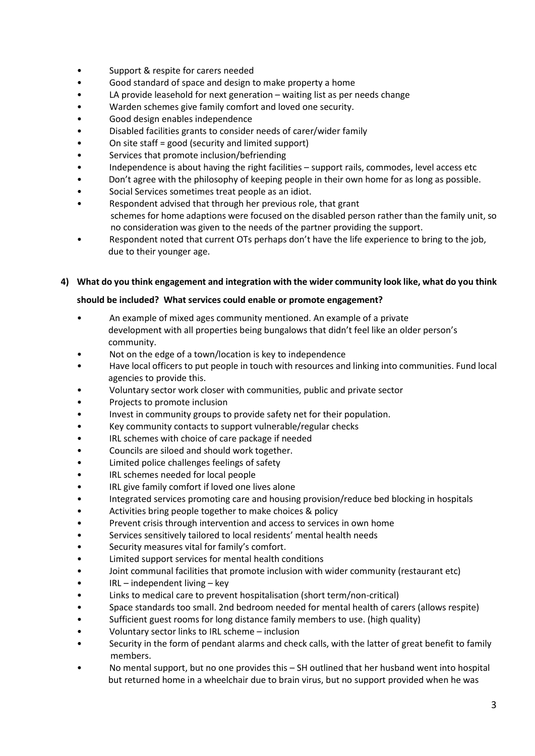- Support & respite for carers needed
- Good standard of space and design to make property a home
- LA provide leasehold for next generation waiting list as per needs change
- Warden schemes give family comfort and loved one security.
- Good design enables independence
- Disabled facilities grants to consider needs of carer/wider family
- On site staff = good (security and limited support)
- Services that promote inclusion/befriending
- Independence is about having the right facilities support rails, commodes, level access etc
- Don't agree with the philosophy of keeping people in their own home for as long as possible.
- Social Services sometimes treat people as an idiot.
- Respondent advised that through her previous role, that grant schemes for home adaptions were focused on the disabled person rather than the family unit, so no consideration was given to the needs of the partner providing the support.
- Respondent noted that current OTs perhaps don't have the life experience to bring to the job, due to their younger age.

#### **4) What do you think engagement and integration with the wider community look like, what do you think**

#### **should be included? What services could enable or promote engagement?**

- An example of mixed ages community mentioned. An example of a private development with all properties being bungalows that didn't feel like an older person's community.
- Not on the edge of a town/location is key to independence
- Have local officers to put people in touch with resources and linking into communities. Fund local agencies to provide this.
- Voluntary sector work closer with communities, public and private sector
- Projects to promote inclusion
- Invest in community groups to provide safety net for their population.
- Key community contacts to support vulnerable/regular checks
- IRL schemes with choice of care package if needed
- Councils are siloed and should work together.
- Limited police challenges feelings of safety
- IRL schemes needed for local people
- IRL give family comfort if loved one lives alone
- Integrated services promoting care and housing provision/reduce bed blocking in hospitals
- Activities bring people together to make choices & policy
- Prevent crisis through intervention and access to services in own home
- Services sensitively tailored to local residents' mental health needs
- Security measures vital for family's comfort.
- Limited support services for mental health conditions
- Joint communal facilities that promote inclusion with wider community (restaurant etc)
- IRL independent living key
- Links to medical care to prevent hospitalisation (short term/non-critical)
- Space standards too small. 2nd bedroom needed for mental health of carers (allows respite)
- Sufficient guest rooms for long distance family members to use. (high quality)
- Voluntary sector links to IRL scheme inclusion
- Security in the form of pendant alarms and check calls, with the latter of great benefit to family members.
- No mental support, but no one provides this SH outlined that her husband went into hospital but returned home in a wheelchair due to brain virus, but no support provided when he was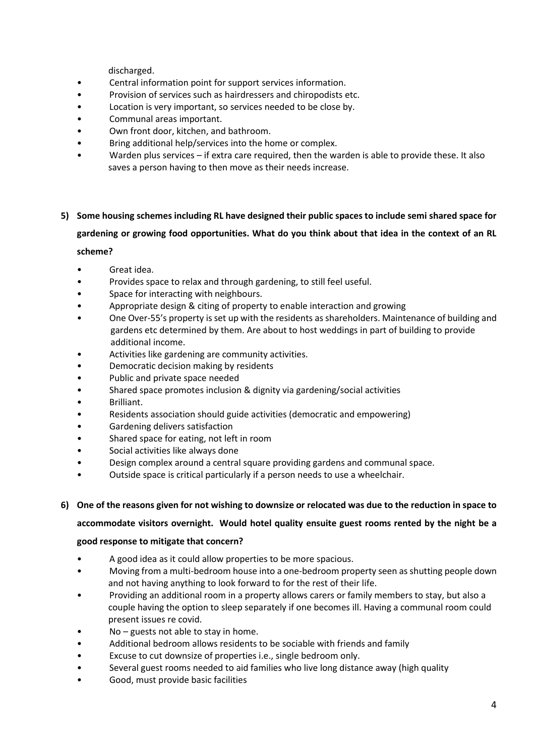discharged.

- Central information point for support services information.
- Provision of services such as hairdressers and chiropodists etc.
- Location is very important, so services needed to be close by.
- Communal areas important.
- Own front door, kitchen, and bathroom.
- Bring additional help/services into the home or complex.
- Warden plus services if extra care required, then the warden is able to provide these. It also saves a person having to then move as their needs increase.

#### **5) Some housing schemes including RL have designed their public spaces to include semi shared space for**

# **gardening or growing food opportunities. What do you think about that idea in the context of an RL**

#### **scheme?**

- Great idea.
- Provides space to relax and through gardening, to still feel useful.
- Space for interacting with neighbours.
- Appropriate design & citing of property to enable interaction and growing
- One Over-55's property is set up with the residents as shareholders. Maintenance of building and gardens etc determined by them. Are about to host weddings in part of building to provide additional income.
- Activities like gardening are community activities.
- Democratic decision making by residents
- Public and private space needed
- Shared space promotes inclusion & dignity via gardening/social activities
- Brilliant.
- Residents association should guide activities (democratic and empowering)
- Gardening delivers satisfaction
- Shared space for eating, not left in room
- Social activities like always done
- Design complex around a central square providing gardens and communal space.
- Outside space is critical particularly if a person needs to use a wheelchair.

### **6) One of the reasons given for not wishing to downsize or relocated was due to the reduction in space to**

#### **accommodate visitors overnight. Would hotel quality ensuite guest rooms rented by the night be a**

#### **good response to mitigate that concern?**

- A good idea as it could allow properties to be more spacious.
- Moving from a multi-bedroom house into a one-bedroom property seen as shutting people down and not having anything to look forward to for the rest of their life.
- Providing an additional room in a property allows carers or family members to stay, but also a couple having the option to sleep separately if one becomes ill. Having a communal room could present issues re covid.
- No guests not able to stay in home.
- Additional bedroom allows residents to be sociable with friends and family
- Excuse to cut downsize of properties i.e., single bedroom only.
- Several guest rooms needed to aid families who live long distance away (high quality
- Good, must provide basic facilities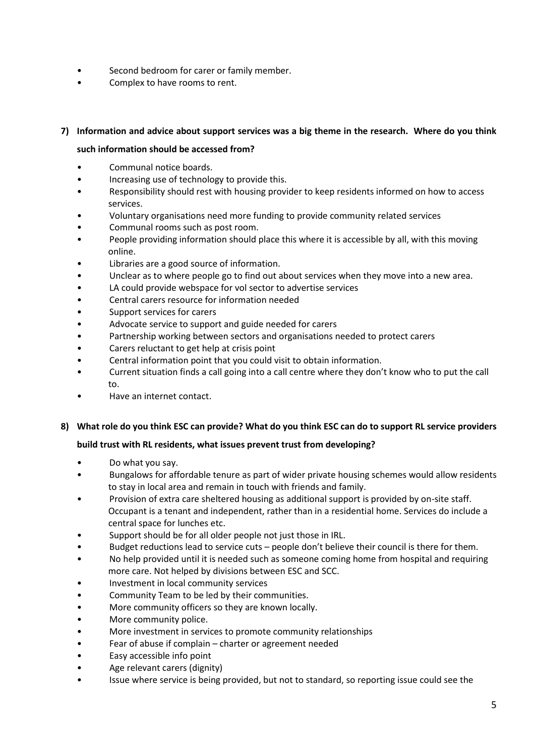- Second bedroom for carer or family member.
- Complex to have rooms to rent.

### **7) Information and advice about support services was a big theme in the research. Where do you think**

#### **such information should be accessed from?**

- Communal notice boards.
- Increasing use of technology to provide this.
- Responsibility should rest with housing provider to keep residents informed on how to access services.
- Voluntary organisations need more funding to provide community related services
- Communal rooms such as post room.
- People providing information should place this where it is accessible by all, with this moving online.
- Libraries are a good source of information.
- Unclear as to where people go to find out about services when they move into a new area.
- LA could provide webspace for vol sector to advertise services
- Central carers resource for information needed
- Support services for carers
- Advocate service to support and guide needed for carers
- Partnership working between sectors and organisations needed to protect carers
- Carers reluctant to get help at crisis point
- Central information point that you could visit to obtain information.
- Current situation finds a call going into a call centre where they don't know who to put the call to.
- Have an internet contact.

#### **8) What role do you think ESC can provide? What do you think ESC can do to support RL service providers**

#### **build trust with RL residents, what issues prevent trust from developing?**

- Do what you say.
- Bungalows for affordable tenure as part of wider private housing schemes would allow residents to stay in local area and remain in touch with friends and family.
- Provision of extra care sheltered housing as additional support is provided by on-site staff. Occupant is a tenant and independent, rather than in a residential home. Services do include a central space for lunches etc.
- Support should be for all older people not just those in IRL.
- Budget reductions lead to service cuts people don't believe their council is there for them.
- No help provided until it is needed such as someone coming home from hospital and requiring more care. Not helped by divisions between ESC and SCC.
- Investment in local community services
- Community Team to be led by their communities.
- More community officers so they are known locally.
- More community police.
- More investment in services to promote community relationships
- Fear of abuse if complain charter or agreement needed
- Easy accessible info point
- Age relevant carers (dignity)
- Issue where service is being provided, but not to standard, so reporting issue could see the